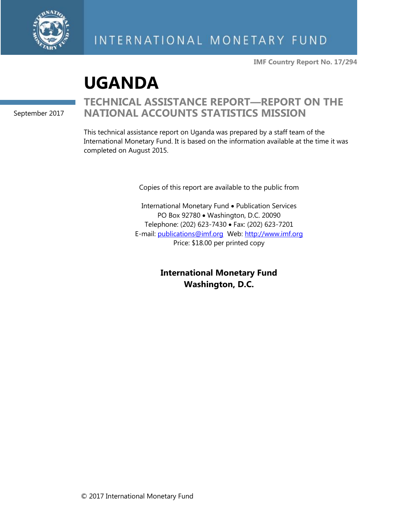

**IMF Country Report No. 17/294**

# **UGANDA**

September 2017

# **TECHNICAL ASSISTANCE REPORT—REPORT ON THE NATIONAL ACCOUNTS STATISTICS MISSION**

This technical assistance report on Uganda was prepared by a staff team of the International Monetary Fund. It is based on the information available at the time it was completed on August 2015.

Copies of this report are available to the public from

International Monetary Fund • Publication Services PO Box 92780 • Washington, D.C. 20090 Telephone: (202) 623-7430 • Fax: (202) 623-7201 E-mail: [publications@imf.org](mailto:publications@imf.org) Web: [http://www.imf.org](http://www.imf.org/) Price: \$18.00 per printed copy

> **International Monetary Fund Washington, D.C.**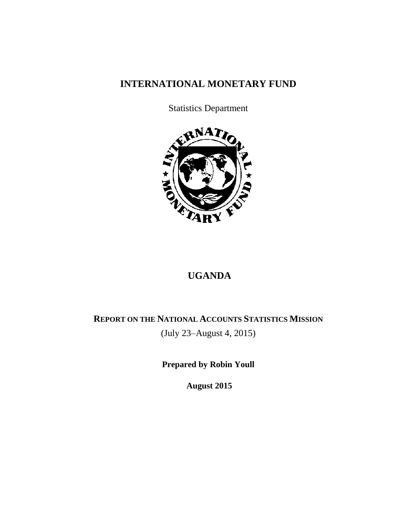## **INTERNATIONAL MONETARY FUND**

Statistics Department



# **UGANDA**

# **REPORT ON THE NATIONAL ACCOUNTS STATISTICS MISSION** (July 23–August 4, 2015)

**Prepared by Robin Youll**

**August 2015**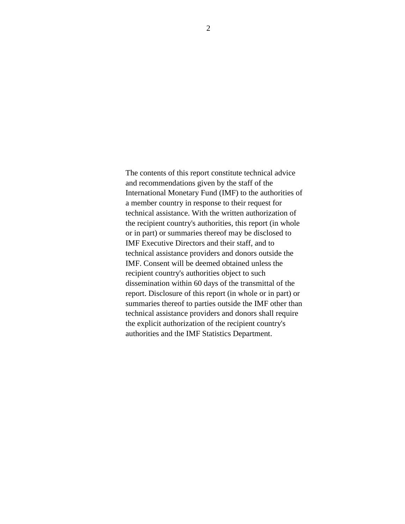The contents of this report constitute technical advice and recommendations given by the staff of the International Monetary Fund (IMF) to the authorities of a member country in response to their request for technical assistance. With the written authorization of the recipient country's authorities, this report (in whole or in part) or summaries thereof may be disclosed to IMF Executive Directors and their staff, and to technical assistance providers and donors outside the IMF. Consent will be deemed obtained unless the recipient country's authorities object to such dissemination within 60 days of the transmittal of the report. Disclosure of this report (in whole or in part) or summaries thereof to parties outside the IMF other than technical assistance providers and donors shall require the explicit authorization of the recipient country's authorities and the IMF Statistics Department.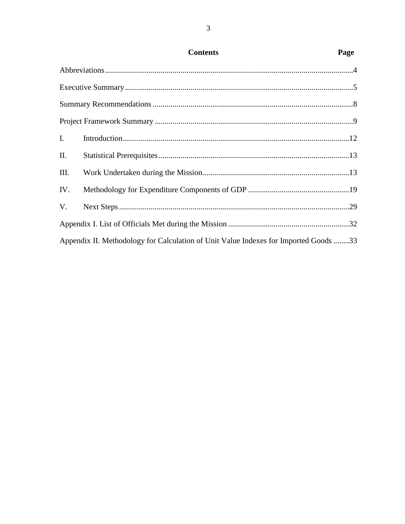| I.  |                                                                                      |  |  |  |  |  |
|-----|--------------------------------------------------------------------------------------|--|--|--|--|--|
| II. |                                                                                      |  |  |  |  |  |
| Ш.  |                                                                                      |  |  |  |  |  |
| IV. |                                                                                      |  |  |  |  |  |
| V.  |                                                                                      |  |  |  |  |  |
|     |                                                                                      |  |  |  |  |  |
|     | Appendix II. Methodology for Calculation of Unit Value Indexes for Imported Goods 33 |  |  |  |  |  |

## $\mathfrak{Z}$

Page

**Contents**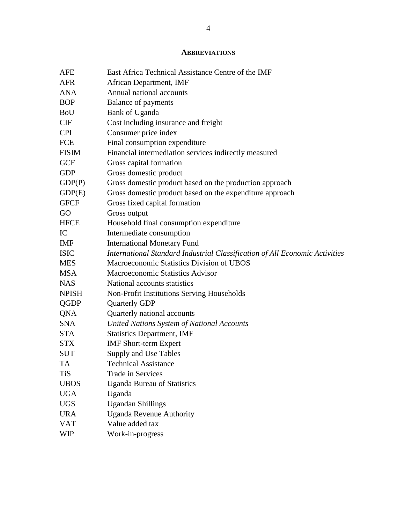#### **ABBREVIATIONS**

| AFE          | East Africa Technical Assistance Centre of the IMF                          |
|--------------|-----------------------------------------------------------------------------|
| <b>AFR</b>   | African Department, IMF                                                     |
| <b>ANA</b>   | Annual national accounts                                                    |
| <b>BOP</b>   | <b>Balance of payments</b>                                                  |
| BoU          | Bank of Uganda                                                              |
| CIF          | Cost including insurance and freight                                        |
| <b>CPI</b>   | Consumer price index                                                        |
| FCE          | Final consumption expenditure                                               |
| <b>FISIM</b> | Financial intermediation services indirectly measured                       |
| <b>GCF</b>   | Gross capital formation                                                     |
| <b>GDP</b>   | Gross domestic product                                                      |
| GDP(P)       | Gross domestic product based on the production approach                     |
| GDP(E)       | Gross domestic product based on the expenditure approach                    |
| <b>GFCF</b>  | Gross fixed capital formation                                               |
| GO           | Gross output                                                                |
| <b>HFCE</b>  | Household final consumption expenditure                                     |
| IC           | Intermediate consumption                                                    |
| IMF          | <b>International Monetary Fund</b>                                          |
| <b>ISIC</b>  | International Standard Industrial Classification of All Economic Activities |
| <b>MES</b>   | Macroeconomic Statistics Division of UBOS                                   |
| <b>MSA</b>   | Macroeconomic Statistics Advisor                                            |
| <b>NAS</b>   | National accounts statistics                                                |
| <b>NPISH</b> | Non-Profit Institutions Serving Households                                  |
| QGDP         | <b>Quarterly GDP</b>                                                        |
| QNA          | Quarterly national accounts                                                 |
| <b>SNA</b>   | United Nations System of National Accounts                                  |
| <b>STA</b>   | <b>Statistics Department, IMF</b>                                           |
| <b>STX</b>   | <b>IMF</b> Short-term Expert                                                |
| <b>SUT</b>   | Supply and Use Tables                                                       |
| <b>TA</b>    | <b>Technical Assistance</b>                                                 |
| <b>TiS</b>   | <b>Trade in Services</b>                                                    |
| <b>UBOS</b>  | <b>Uganda Bureau of Statistics</b>                                          |
| <b>UGA</b>   | Uganda                                                                      |
| <b>UGS</b>   | <b>Ugandan Shillings</b>                                                    |
| <b>URA</b>   | <b>Uganda Revenue Authority</b>                                             |
| <b>VAT</b>   | Value added tax                                                             |
| <b>WIP</b>   | Work-in-progress                                                            |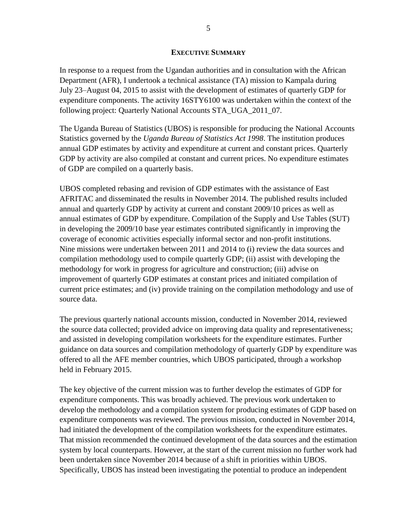#### **EXECUTIVE SUMMARY**

In response to a request from the Ugandan authorities and in consultation with the African Department (AFR), I undertook a technical assistance (TA) mission to Kampala during July 23–August 04, 2015 to assist with the development of estimates of quarterly GDP for expenditure components. The activity 16STY6100 was undertaken within the context of the following project: Quarterly National Accounts STA\_UGA\_2011\_07.

The Uganda Bureau of Statistics (UBOS) is responsible for producing the National Accounts Statistics governed by the *Uganda Bureau of Statistics Act 1998*. The institution produces annual GDP estimates by activity and expenditure at current and constant prices. Quarterly GDP by activity are also compiled at constant and current prices. No expenditure estimates of GDP are compiled on a quarterly basis.

UBOS completed rebasing and revision of GDP estimates with the assistance of East AFRITAC and disseminated the results in November 2014. The published results included annual and quarterly GDP by activity at current and constant 2009/10 prices as well as annual estimates of GDP by expenditure. Compilation of the Supply and Use Tables (SUT) in developing the 2009/10 base year estimates contributed significantly in improving the coverage of economic activities especially informal sector and non-profit institutions. Nine missions were undertaken between 2011 and 2014 to (i) review the data sources and compilation methodology used to compile quarterly GDP; (ii) assist with developing the methodology for work in progress for agriculture and construction; (iii) advise on improvement of quarterly GDP estimates at constant prices and initiated compilation of current price estimates; and (iv) provide training on the compilation methodology and use of source data.

The previous quarterly national accounts mission, conducted in November 2014, reviewed the source data collected; provided advice on improving data quality and representativeness; and assisted in developing compilation worksheets for the expenditure estimates. Further guidance on data sources and compilation methodology of quarterly GDP by expenditure was offered to all the AFE member countries, which UBOS participated, through a workshop held in February 2015.

The key objective of the current mission was to further develop the estimates of GDP for expenditure components. This was broadly achieved. The previous work undertaken to develop the methodology and a compilation system for producing estimates of GDP based on expenditure components was reviewed. The previous mission, conducted in November 2014, had initiated the development of the compilation worksheets for the expenditure estimates. That mission recommended the continued development of the data sources and the estimation system by local counterparts. However, at the start of the current mission no further work had been undertaken since November 2014 because of a shift in priorities within UBOS. Specifically, UBOS has instead been investigating the potential to produce an independent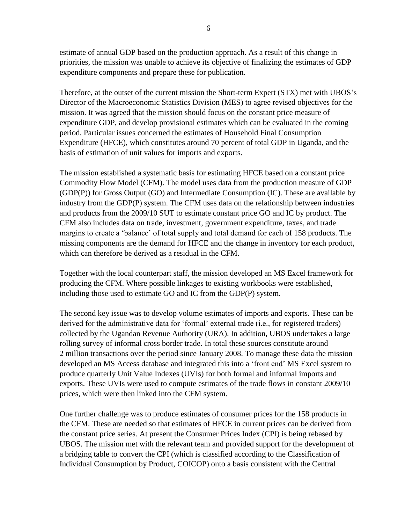estimate of annual GDP based on the production approach. As a result of this change in priorities, the mission was unable to achieve its objective of finalizing the estimates of GDP expenditure components and prepare these for publication.

Therefore, at the outset of the current mission the Short-term Expert (STX) met with UBOS's Director of the Macroeconomic Statistics Division (MES) to agree revised objectives for the mission. It was agreed that the mission should focus on the constant price measure of expenditure GDP, and develop provisional estimates which can be evaluated in the coming period. Particular issues concerned the estimates of Household Final Consumption Expenditure (HFCE), which constitutes around 70 percent of total GDP in Uganda, and the basis of estimation of unit values for imports and exports.

The mission established a systematic basis for estimating HFCE based on a constant price Commodity Flow Model (CFM). The model uses data from the production measure of GDP (GDP(P)) for Gross Output (GO) and Intermediate Consumption (IC). These are available by industry from the GDP(P) system. The CFM uses data on the relationship between industries and products from the 2009/10 SUT to estimate constant price GO and IC by product. The CFM also includes data on trade, investment, government expenditure, taxes, and trade margins to create a 'balance' of total supply and total demand for each of 158 products. The missing components are the demand for HFCE and the change in inventory for each product, which can therefore be derived as a residual in the CFM.

Together with the local counterpart staff, the mission developed an MS Excel framework for producing the CFM. Where possible linkages to existing workbooks were established, including those used to estimate GO and IC from the GDP(P) system.

The second key issue was to develop volume estimates of imports and exports. These can be derived for the administrative data for 'formal' external trade (i.e., for registered traders) collected by the Ugandan Revenue Authority (URA). In addition, UBOS undertakes a large rolling survey of informal cross border trade. In total these sources constitute around 2 million transactions over the period since January 2008. To manage these data the mission developed an MS Access database and integrated this into a 'front end' MS Excel system to produce quarterly Unit Value Indexes (UVIs) for both formal and informal imports and exports. These UVIs were used to compute estimates of the trade flows in constant 2009/10 prices, which were then linked into the CFM system.

One further challenge was to produce estimates of consumer prices for the 158 products in the CFM. These are needed so that estimates of HFCE in current prices can be derived from the constant price series. At present the Consumer Prices Index (CPI) is being rebased by UBOS. The mission met with the relevant team and provided support for the development of a bridging table to convert the CPI (which is classified according to the Classification of Individual Consumption by Product, COICOP) onto a basis consistent with the Central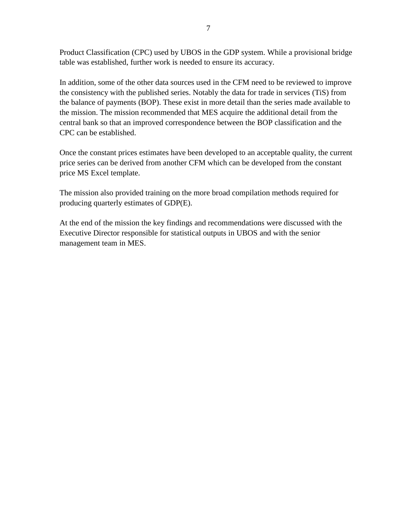Product Classification (CPC) used by UBOS in the GDP system. While a provisional bridge table was established, further work is needed to ensure its accuracy.

In addition, some of the other data sources used in the CFM need to be reviewed to improve the consistency with the published series. Notably the data for trade in services (TiS) from the balance of payments (BOP). These exist in more detail than the series made available to the mission. The mission recommended that MES acquire the additional detail from the central bank so that an improved correspondence between the BOP classification and the CPC can be established.

Once the constant prices estimates have been developed to an acceptable quality, the current price series can be derived from another CFM which can be developed from the constant price MS Excel template.

The mission also provided training on the more broad compilation methods required for producing quarterly estimates of GDP(E).

At the end of the mission the key findings and recommendations were discussed with the Executive Director responsible for statistical outputs in UBOS and with the senior management team in MES.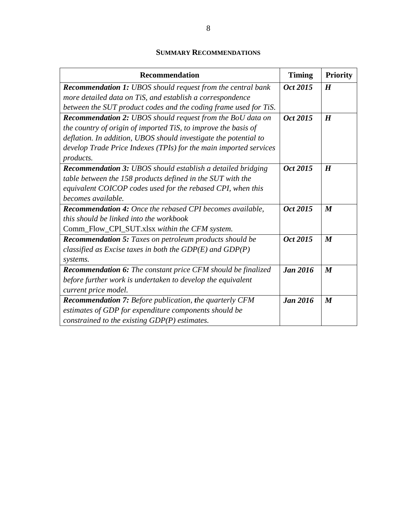## **SUMMARY RECOMMENDATIONS**

| <b>Recommendation</b>                                               | <b>Timing</b>   | <b>Priority</b>  |
|---------------------------------------------------------------------|-----------------|------------------|
| <b>Recommendation 1:</b> UBOS should request from the central bank  | Oct 2015        | H                |
| more detailed data on TiS, and establish a correspondence           |                 |                  |
| between the SUT product codes and the coding frame used for TiS.    |                 |                  |
| <b>Recommendation 2:</b> UBOS should request from the BoU data on   | Oct 2015        | H                |
| the country of origin of imported TiS, to improve the basis of      |                 |                  |
| deflation. In addition, UBOS should investigate the potential to    |                 |                  |
| develop Trade Price Indexes (TPIs) for the main imported services   |                 |                  |
| products.                                                           |                 |                  |
| <b>Recommendation 3:</b> UBOS should establish a detailed bridging  | Oct 2015        | $\bm H$          |
| table between the 158 products defined in the SUT with the          |                 |                  |
| equivalent COICOP codes used for the rebased CPI, when this         |                 |                  |
| becomes available.                                                  |                 |                  |
| <b>Recommendation 4:</b> Once the rebased CPI becomes available,    | Oct 2015        | $\boldsymbol{M}$ |
| this should be linked into the workbook                             |                 |                  |
| Comm_Flow_CPI_SUT.xlsx within the CFM system.                       |                 |                  |
| Recommendation 5: Taxes on petroleum products should be             | Oct 2015        | $\boldsymbol{M}$ |
| classified as Excise taxes in both the $GDP(E)$ and $GDP(P)$        |                 |                  |
| systems.                                                            |                 |                  |
| <b>Recommendation 6:</b> The constant price CFM should be finalized | <b>Jan 2016</b> | $\boldsymbol{M}$ |
| before further work is undertaken to develop the equivalent         |                 |                  |
| current price model.                                                |                 |                  |
| <b>Recommendation 7:</b> Before publication, the quarterly CFM      | <b>Jan 2016</b> | $\boldsymbol{M}$ |
| estimates of GDP for expenditure components should be               |                 |                  |
| constrained to the existing $GDP(P)$ estimates.                     |                 |                  |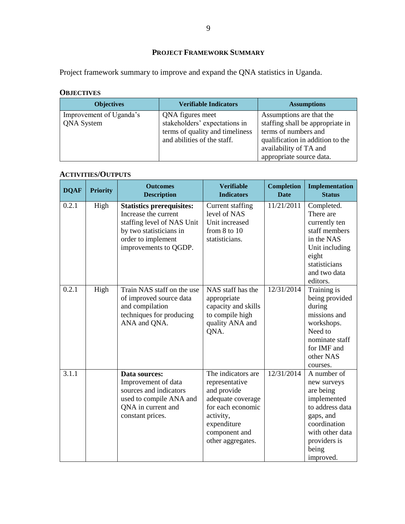## **PROJECT FRAMEWORK SUMMARY**

Project framework summary to improve and expand the QNA statistics in Uganda.

## **OBJECTIVES**

| <b>Objectives</b>                            | <b>Verifiable Indicators</b>                                                                                        | <b>Assumptions</b>                                                                                                                                                             |
|----------------------------------------------|---------------------------------------------------------------------------------------------------------------------|--------------------------------------------------------------------------------------------------------------------------------------------------------------------------------|
| Improvement of Uganda's<br><b>QNA</b> System | QNA figures meet<br>stakeholders' expectations in<br>terms of quality and timeliness<br>and abilities of the staff. | Assumptions are that the<br>staffing shall be appropriate in<br>terms of numbers and<br>qualification in addition to the<br>availability of TA and<br>appropriate source data. |

## **ACTIVITIES/OUTPUTS**

| <b>DQAF</b> | <b>Priority</b> | <b>Outcomes</b><br><b>Description</b>                                                                                                                            | <b>Verifiable</b><br><b>Indicators</b>                                                                                                                          | <b>Completion</b><br><b>Date</b> | <b>Implementation</b><br><b>Status</b>                                                                                                                          |
|-------------|-----------------|------------------------------------------------------------------------------------------------------------------------------------------------------------------|-----------------------------------------------------------------------------------------------------------------------------------------------------------------|----------------------------------|-----------------------------------------------------------------------------------------------------------------------------------------------------------------|
| 0.2.1       | High            | <b>Statistics prerequisites:</b><br>Increase the current<br>staffing level of NAS Unit<br>by two statisticians in<br>order to implement<br>improvements to QGDP. | Current staffing<br>level of NAS<br>Unit increased<br>from $8$ to $10$<br>statisticians.                                                                        | 11/21/2011                       | Completed.<br>There are<br>currently ten<br>staff members<br>in the NAS<br>Unit including<br>eight<br>statisticians<br>and two data<br>editors.                 |
| 0.2.1       | High            | Train NAS staff on the use<br>of improved source data<br>and compilation<br>techniques for producing<br>ANA and QNA.                                             | NAS staff has the<br>appropriate<br>capacity and skills<br>to compile high<br>quality ANA and<br>QNA.                                                           | 12/31/2014                       | Training is<br>being provided<br>during<br>missions and<br>workshops.<br>Need to<br>nominate staff<br>for IMF and<br>other NAS<br>courses.                      |
| 3.1.1       |                 | Data sources:<br>Improvement of data<br>sources and indicators<br>used to compile ANA and<br>QNA in current and<br>constant prices.                              | The indicators are<br>representative<br>and provide<br>adequate coverage<br>for each economic<br>activity,<br>expenditure<br>component and<br>other aggregates. | 12/31/2014                       | A number of<br>new surveys<br>are being<br>implemented<br>to address data<br>gaps, and<br>coordination<br>with other data<br>providers is<br>being<br>improved. |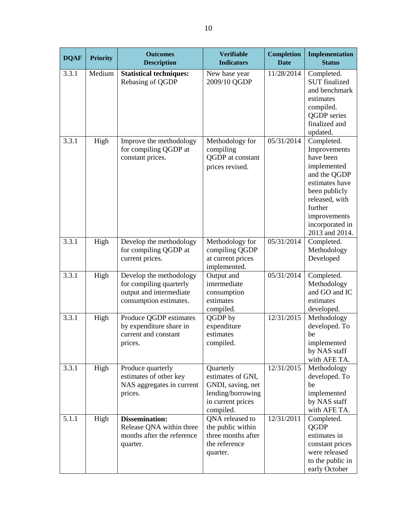| <b>DQAF</b> | <b>Priority</b> | <b>Outcomes</b><br><b>Description</b>                                                                   | <b>Verifiable</b><br><b>Indicators</b>                                                                     | <b>Completion</b><br><b>Date</b> | Implementation<br><b>Status</b>                                                                                                                                                             |
|-------------|-----------------|---------------------------------------------------------------------------------------------------------|------------------------------------------------------------------------------------------------------------|----------------------------------|---------------------------------------------------------------------------------------------------------------------------------------------------------------------------------------------|
| 3.3.1       | Medium          | <b>Statistical techniques:</b><br>Rebasing of QGDP                                                      | New base year<br>2009/10 QGDP                                                                              | 11/28/2014                       | Completed.<br><b>SUT</b> finalized<br>and benchmark<br>estimates<br>compiled.<br>QGDP series<br>finalized and<br>updated.                                                                   |
| 3.3.1       | High            | Improve the methodology<br>for compiling QGDP at<br>constant prices.                                    | Methodology for<br>compiling<br>QGDP at constant<br>prices revised.                                        | 05/31/2014                       | Completed.<br>Improvements<br>have been<br>implemented<br>and the QGDP<br>estimates have<br>been publicly<br>released, with<br>further<br>improvements<br>incorporated in<br>2013 and 2014. |
| 3.3.1       | High            | Develop the methodology<br>for compiling QGDP at<br>current prices.                                     | Methodology for<br>compiling QGDP<br>at current prices<br>implemented.                                     | 05/31/2014                       | Completed.<br>Methodology<br>Developed                                                                                                                                                      |
| 3.3.1       | High            | Develop the methodology<br>for compiling quarterly<br>output and intermediate<br>consumption estimates. | Output and<br>intermediate<br>consumption<br>estimates<br>compiled.                                        | 05/31/2014                       | Completed.<br>Methodology<br>and GO and IC<br>estimates<br>developed.                                                                                                                       |
| 3.3.1       | High            | Produce QGDP estimates<br>by expenditure share in<br>current and constant<br>prices.                    | QGDP by<br>expenditure<br>estimates<br>compiled.                                                           | 12/31/2015                       | Methodology<br>developed. To<br>be<br>implemented<br>by NAS staff<br>with AFE TA.                                                                                                           |
| 3.3.1       | High            | Produce quarterly<br>estimates of other key<br>NAS aggregates in current<br>prices.                     | Quarterly<br>estimates of GNI,<br>GNDI, saving, net<br>lending/borrowing<br>in current prices<br>compiled. | 12/31/2015                       | Methodology<br>developed. To<br>be<br>implemented<br>by NAS staff<br>with AFE TA.                                                                                                           |
| 5.1.1       | High            | <b>Dissemination:</b><br>Release QNA within three<br>months after the reference<br>quarter.             | QNA released to<br>the public within<br>three months after<br>the reference<br>quarter.                    | 12/31/2011                       | Completed.<br>QGDP<br>estimates in<br>constant prices<br>were released<br>to the public in<br>early October                                                                                 |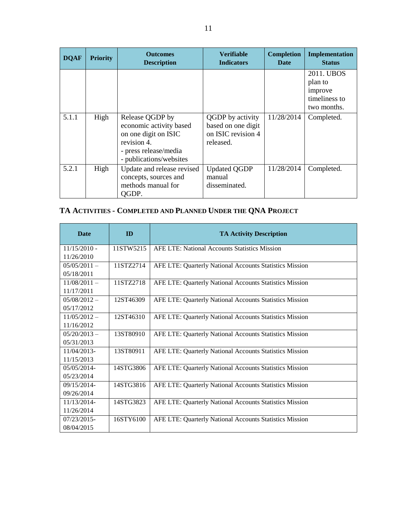| <b>DQAF</b> | <b>Priority</b> | <b>Outcomes</b><br><b>Description</b>                                                                                                 | <b>Verifiable</b><br><b>Indicators</b>                                    | <b>Completion</b><br>Date | Implementation<br><b>Status</b>                                  |
|-------------|-----------------|---------------------------------------------------------------------------------------------------------------------------------------|---------------------------------------------------------------------------|---------------------------|------------------------------------------------------------------|
|             |                 |                                                                                                                                       |                                                                           |                           | 2011. UBOS<br>plan to<br>improve<br>timeliness to<br>two months. |
| 5.1.1       | High            | Release QGDP by<br>economic activity based<br>on one digit on ISIC<br>revision 4.<br>- press release/media<br>- publications/websites | QGDP by activity<br>based on one digit<br>on ISIC revision 4<br>released. | 11/28/2014                | Completed.                                                       |
| 5.2.1       | High            | Update and release revised<br>concepts, sources and<br>methods manual for<br>OGDP.                                                    | <b>Updated QGDP</b><br>manual<br>disseminated.                            | 11/28/2014                | Completed.                                                       |

## **TA ACTIVITIES - COMPLETED AND PLANNED UNDER THE QNA PROJECT**

| <b>Date</b>      | ID        | <b>TA Activity Description</b>                          |
|------------------|-----------|---------------------------------------------------------|
| $11/15/2010$ -   | 11STW5215 | <b>AFE LTE: National Accounts Statistics Mission</b>    |
| 11/26/2010       |           |                                                         |
| $0.5/0.5/2011 -$ | 11STZ2714 | AFE LTE: Quarterly National Accounts Statistics Mission |
| 05/18/2011       |           |                                                         |
| $11/08/2011 -$   | 11STZ2718 | AFE LTE: Quarterly National Accounts Statistics Mission |
| 11/17/2011       |           |                                                         |
| $05/08/2012 -$   | 12ST46309 | AFE LTE: Quarterly National Accounts Statistics Mission |
| 05/17/2012       |           |                                                         |
| $11/05/2012 -$   | 12ST46310 | AFE LTE: Quarterly National Accounts Statistics Mission |
| 11/16/2012       |           |                                                         |
| $05/20/2013 -$   | 13ST80910 | AFE LTE: Quarterly National Accounts Statistics Mission |
| 05/31/2013       |           |                                                         |
| 11/04/2013-      | 13ST80911 | AFE LTE: Quarterly National Accounts Statistics Mission |
| 11/15/2013       |           |                                                         |
| 05/05/2014-      | 14STG3806 | AFE LTE: Quarterly National Accounts Statistics Mission |
| 05/23/2014       |           |                                                         |
| $09/15/2014$ -   | 14STG3816 | AFE LTE: Quarterly National Accounts Statistics Mission |
| 09/26/2014       |           |                                                         |
| 11/13/2014-      | 14STG3823 | AFE LTE: Quarterly National Accounts Statistics Mission |
| 11/26/2014       |           |                                                         |
| $07/23/2015$ -   | 16STY6100 | AFE LTE: Quarterly National Accounts Statistics Mission |
| 08/04/2015       |           |                                                         |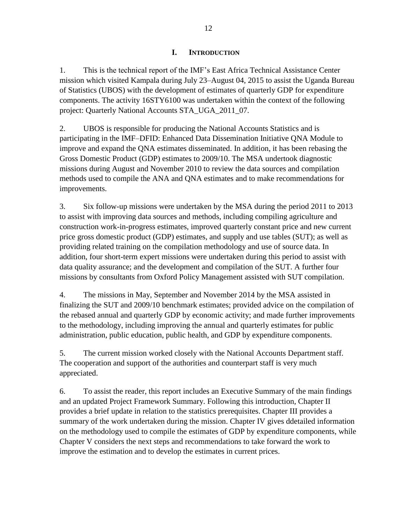#### **I. INTRODUCTION**

1. This is the technical report of the IMF's East Africa Technical Assistance Center mission which visited Kampala during July 23–August 04, 2015 to assist the Uganda Bureau of Statistics (UBOS) with the development of estimates of quarterly GDP for expenditure components. The activity 16STY6100 was undertaken within the context of the following project: Quarterly National Accounts STA\_UGA\_2011\_07.

2. UBOS is responsible for producing the National Accounts Statistics and is participating in the IMF–DFID: Enhanced Data Dissemination Initiative QNA Module to improve and expand the QNA estimates disseminated. In addition, it has been rebasing the Gross Domestic Product (GDP) estimates to 2009/10. The MSA undertook diagnostic missions during August and November 2010 to review the data sources and compilation methods used to compile the ANA and QNA estimates and to make recommendations for improvements.

3. Six follow-up missions were undertaken by the MSA during the period 2011 to 2013 to assist with improving data sources and methods, including compiling agriculture and construction work-in-progress estimates, improved quarterly constant price and new current price gross domestic product (GDP) estimates, and supply and use tables (SUT); as well as providing related training on the compilation methodology and use of source data. In addition, four short-term expert missions were undertaken during this period to assist with data quality assurance; and the development and compilation of the SUT. A further four missions by consultants from Oxford Policy Management assisted with SUT compilation.

4. The missions in May, September and November 2014 by the MSA assisted in finalizing the SUT and 2009/10 benchmark estimates; provided advice on the compilation of the rebased annual and quarterly GDP by economic activity; and made further improvements to the methodology, including improving the annual and quarterly estimates for public administration, public education, public health, and GDP by expenditure components.

5. The current mission worked closely with the National Accounts Department staff. The cooperation and support of the authorities and counterpart staff is very much appreciated.

6. To assist the reader, this report includes an Executive Summary of the main findings and an updated Project Framework Summary. Following this introduction, Chapter II provides a brief update in relation to the statistics prerequisites. Chapter III provides a summary of the work undertaken during the mission. Chapter IV gives ddetailed information on the methodology used to compile the estimates of GDP by expenditure components, while Chapter V considers the next steps and recommendations to take forward the work to improve the estimation and to develop the estimates in current prices.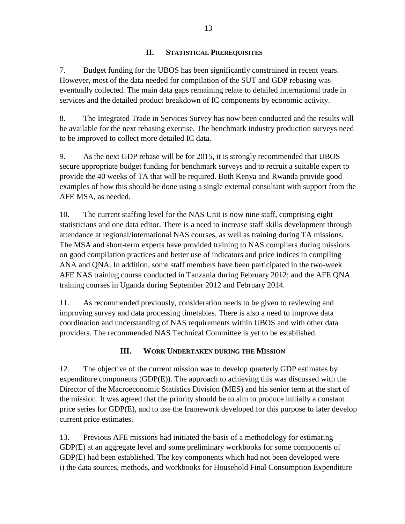#### **II. STATISTICAL PREREQUISITES**

7. Budget funding for the UBOS has been significantly constrained in recent years. However, most of the data needed for compilation of the SUT and GDP rebasing was eventually collected. The main data gaps remaining relate to detailed international trade in services and the detailed product breakdown of IC components by economic activity.

8. The Integrated Trade in Services Survey has now been conducted and the results will be available for the next rebasing exercise. The benchmark industry production surveys need to be improved to collect more detailed IC data.

9. As the next GDP rebase will be for 2015, it is strongly recommended that UBOS secure appropriate budget funding for benchmark surveys and to recruit a suitable expert to provide the 40 weeks of TA that will be required. Both Kenya and Rwanda provide good examples of how this should be done using a single external consultant with support from the AFE MSA, as needed.

10. The current staffing level for the NAS Unit is now nine staff, comprising eight statisticians and one data editor. There is a need to increase staff skills development through attendance at regional/international NAS courses, as well as training during TA missions. The MSA and short-term experts have provided training to NAS compilers during missions on good compilation practices and better use of indicators and price indices in compiling ANA and QNA. In addition, some staff members have been participated in the two-week AFE NAS training course conducted in Tanzania during February 2012; and the AFE QNA training courses in Uganda during September 2012 and February 2014.

11. As recommended previously, consideration needs to be given to reviewing and improving survey and data processing timetables. There is also a need to improve data coordination and understanding of NAS requirements within UBOS and with other data providers. The recommended NAS Technical Committee is yet to be established.

## **III. WORK UNDERTAKEN DURING THE MISSION**

12. The objective of the current mission was to develop quarterly GDP estimates by expenditure components (GDP(E)). The approach to achieving this was discussed with the Director of the Macroeconomic Statistics Division (MES) and his senior term at the start of the mission. It was agreed that the priority should be to aim to produce initially a constant price series for GDP(E), and to use the framework developed for this purpose to later develop current price estimates.

13. Previous AFE missions had initiated the basis of a methodology for estimating GDP(E) at an aggregate level and some preliminary workbooks for some components of GDP(E) had been established. The key components which had not been developed were i) the data sources, methods, and workbooks for Household Final Consumption Expenditure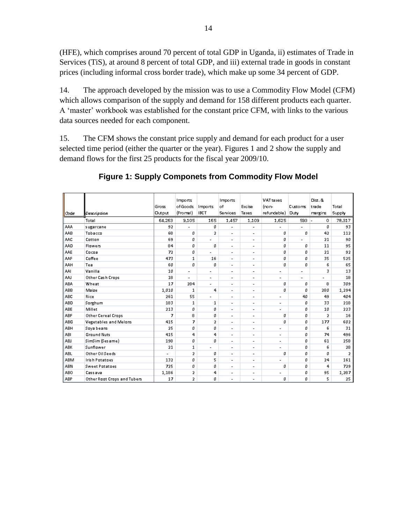(HFE), which comprises around 70 percent of total GDP in Uganda, ii) estimates of Trade in Services (TiS), at around 8 percent of total GDP, and iii) external trade in goods in constant prices (including informal cross border trade), which make up some 34 percent of GDP.

14. The approach developed by the mission was to use a Commodity Flow Model (CFM) which allows comparison of the supply and demand for 158 different products each quarter. A 'master' workbook was established for the constant price CFM, with links to the various data sources needed for each component.

15. The CFM shows the constant price supply and demand for each product for a user selected time period (either the quarter or the year). Figures 1 and 2 show the supply and demand flows for the first 25 products for the fiscal year 2009/10.

|            |                             |                          | Imports                  |                          | Imports                  |                          | <b>VAT</b> taxes         |                          | Dist. &        |                |
|------------|-----------------------------|--------------------------|--------------------------|--------------------------|--------------------------|--------------------------|--------------------------|--------------------------|----------------|----------------|
|            |                             | Gross                    | of Goods                 | Imports                  | of                       | Excise                   | (non-                    | Customs                  | trade          | Total          |
| Code       | Description                 | Output                   | (Fromal)                 | <b>IBCT</b>              | Services                 | Taxes                    | refundable) Duty         |                          | margins        | Supply         |
|            | Total                       | 64,263                   | 9,105                    | 165                      | 1,457                    | 1,109                    | 1,625                    | 593 -                    | $\circ$        | 78,317         |
|            |                             |                          |                          |                          |                          |                          |                          |                          |                |                |
| AAA.       | sugarcane                   | 92                       | $\overline{\phantom{a}}$ | o                        | L                        | $\overline{\phantom{a}}$ |                          | $\overline{\phantom{a}}$ | o              | 93             |
| AAB        | Tobacco                     | 68                       | O                        | $\overline{2}$           | $\overline{a}$           | -                        | O                        | ۵                        | 42             | 112            |
| AAC        | Cotton                      | 69                       | ٥                        | $\overline{\phantom{a}}$ | -                        | $\overline{\phantom{a}}$ | o                        | $\overline{\phantom{a}}$ | 21             | 90             |
| <b>AAD</b> | Flowers                     | 84                       | O                        | ٥                        | -                        | ۰                        | O                        | ٥                        | 11             | 95             |
| AAE        | Cocoa                       | 72                       | O                        | $\overline{a}$           | $\overline{a}$           | ٠                        | o                        | ٥                        | 21             | 92             |
| AAF        | Coffee                      | 473                      | $\mathbf{1}$             | 16                       | $\overline{a}$           | $\overline{\phantom{a}}$ | o                        | o                        | 35             | 525            |
| AAH        | Tea                         | 60                       | o                        | ٥                        | $\overline{a}$           | ٠                        | O                        | Ø                        | 6              | 65             |
| AAL        | Vanilla                     | 10                       | $\overline{\phantom{a}}$ | $\overline{\phantom{a}}$ | $\overline{a}$           | $\overline{\phantom{a}}$ | $\overline{a}$           | $\overline{a}$           | 3              | 13             |
| AAI        | Other Cash Crops            | 18                       | $\overline{\phantom{a}}$ | $\overline{\phantom{a}}$ | -                        | ٠                        | $\overline{\phantom{0}}$ | $\overline{\phantom{0}}$ | $\overline{a}$ | 18             |
| <b>ABA</b> | Wheat                       | 17                       | 284                      | $\overline{\phantom{a}}$ | ٠                        | ٠                        | ٥                        | ۵                        | 8              | 309            |
| <b>ABB</b> | Maize                       | 1,010                    | 1                        | 4                        | $\overline{a}$           | ٠                        | O                        | Ø                        | 280            | 1,294          |
| <b>ABC</b> | Rice                        | 261                      | 55                       | $\overline{\phantom{a}}$ | -                        | ٠                        | $\overline{\phantom{a}}$ | 40                       | 49             | 404            |
| <b>ABD</b> | Sorghum                     | 183                      | 1                        | 1                        | -                        | $\overline{\phantom{a}}$ | $\overline{\phantom{a}}$ | ٥                        | 33             | 218            |
| ABE        | Millet                      | 213                      | O                        | Ū.                       | -                        | $\overline{\phantom{a}}$ | $\overline{\phantom{0}}$ | Ø                        | 10             | 223            |
| <b>ABF</b> | Other Cereal Crops          | 7                        | 8                        | ٥                        | $\overline{a}$           | $\overline{\phantom{a}}$ | ٥                        | ۵                        | $\overline{2}$ | 16             |
| <b>ABG</b> | Vegetables and Melons       | 415                      | 7                        | $\overline{2}$           | $\overline{\phantom{0}}$ | $\overline{\phantom{a}}$ | O                        | Ø                        | 177            | 602            |
| ABH        | Soya beans                  | 25                       | ٥                        | ٥                        | $\overline{a}$           | -                        | $\overline{\phantom{a}}$ | ۵                        | 6              | 31             |
| ABI        | <b>Ground Nuts</b>          | 415                      | 4                        | 4                        | -                        | $\overline{\phantom{a}}$ | $\overline{\phantom{a}}$ | o                        | 74             | 496            |
| <b>ABJ</b> | SimSim (Sesame)             | 198                      | ۵                        | ٥                        | $\overline{a}$           | $\overline{\phantom{0}}$ | $\overline{\phantom{0}}$ | Ø                        | 61             | 258            |
| <b>ABK</b> | Sunflower                   | 21                       | 1                        | $\overline{\phantom{a}}$ | $\overline{\phantom{0}}$ | $\overline{\phantom{a}}$ | $\overline{\phantom{a}}$ | o                        | 6              | 28             |
| <b>ABL</b> | Other Oil Seeds             | $\overline{\phantom{0}}$ | 2                        | ۵                        | $\overline{a}$           | ٠                        | o                        | ۵                        | O.             | $\overline{2}$ |
| <b>ABM</b> | Irish Potatoes              | 132                      | O.                       | 5                        | -                        | $\overline{\phantom{a}}$ | $\overline{\phantom{a}}$ | O                        | 24             | 161            |
| <b>ABN</b> | <b>Sweet Potatoes</b>       | 725                      | ۵                        | Ū.                       | $\overline{a}$           | ٠                        | O                        | ۵                        | 4              | 729            |
| ABO        | Cass ava                    | 1,186                    | 2                        | 4                        | -                        | ٠                        | $\overline{\phantom{a}}$ | ٥                        | 95             | 1,287          |
| ABP        | Other Root Crops and Tubers | 17                       | $\overline{2}$           | ۵                        | $\overline{a}$           | -                        | O                        | O                        | 5              | 25             |

## **Figure 1: Supply Componets from Commodity Flow Model**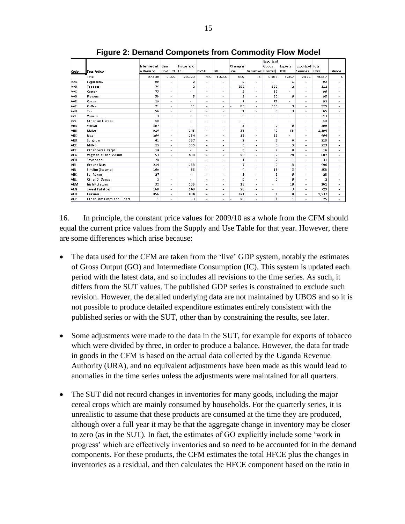| Code       | Description                 | Intermediat<br>le Demand | Gen.<br>Govt, FCE FCE    | Household                | NPISH                    | GFCF                     | Change in<br>Inv.       | Valuables (Formal)       | Exports of<br>Goods      | Exports<br><b>ICBT</b>   | <b>Exports of Total</b><br><b>Services</b> | <b>Uses</b>    | Balance                  |
|------------|-----------------------------|--------------------------|--------------------------|--------------------------|--------------------------|--------------------------|-------------------------|--------------------------|--------------------------|--------------------------|--------------------------------------------|----------------|--------------------------|
|            | Total                       | 27,198                   | 3,929                    | 28,029                   | 715                      | 10,903                   | 819                     | 4                        | 3,187                    | 1,357                    | 2,175                                      | 78,317         | $^{\circ}$               |
| <b>AAA</b> | sugarcane                   | 90                       | ٠                        | 2                        | $\overline{\phantom{a}}$ | ٠                        | o                       | ä,                       | $\overline{\phantom{a}}$ | 1                        |                                            | 93             | ٠                        |
| AAB        | Tobacco                     | 76                       | $\blacksquare$           | $\overline{2}$           | ٠                        | $\overline{\phantom{a}}$ | 103                     | $\overline{a}$           | 136                      | $\overline{2}$           |                                            | 112            | ٠                        |
| aac        | Cotton                      | 73                       | ×.                       | ٠                        | ٠                        | ٠                        | $\overline{\mathbf{2}}$ | ٠                        | 15                       | ×                        | ٠                                          | 90             | ٠                        |
| <b>AAD</b> | Flowers                     | 38                       | ٠                        | 5                        | ٠                        | ٠                        | $\overline{2}$          | ٠                        | 50                       | o                        | ۰                                          | 95             | ٠                        |
| AAE        | Cocoa                       | 19                       | $\overline{\phantom{a}}$ | $\overline{\phantom{a}}$ | ٠                        | $\overline{\phantom{a}}$ | $\overline{2}$          | $\overline{a}$           | 72                       | ٠                        | ٠                                          | 92             | $\blacksquare$           |
| AAF        | Coffee                      | 71                       | $\overline{\phantom{a}}$ | 11                       | ٠                        | ٠                        | 89                      | ä,                       | 530                      | 3                        | ۰                                          | 525            | ٠                        |
| AAH        | Tea                         | 56                       | $\overline{\phantom{a}}$ | ٠                        | $\blacksquare$           | ٠                        | 1                       | $\overline{\phantom{a}}$ | 5                        | 3                        | ٠                                          | 65             | $\overline{\phantom{a}}$ |
| AAI        | Vanilla                     | 4                        | ٠                        | ٠                        | ٠                        | ٠                        | 9                       | ٠                        | ٠                        | ۰                        | ٠                                          | 13             | ٠                        |
| laai       | Other Cash Crops            | 18                       | ٠                        | ٠                        | ٠                        | ٠                        | ٠                       | ٠                        | ٠                        | $\overline{\phantom{a}}$ | ٠                                          | 18             | ×                        |
| ABA        | Wheat                       | 307                      | $\overline{\phantom{a}}$ | ٠                        | $\blacksquare$           | $\overline{\phantom{a}}$ | $\overline{2}$          | $\overline{a}$           | $\mathfrak{a}$           | O.                       | $\overline{\phantom{a}}$                   | 309            | $\overline{a}$           |
| ABB        | Maize                       | 916                      | ×                        | 245                      | ٠                        | ۰                        | 36                      | ٠                        | 40                       | 58                       | ٠                                          | 1,294          | ٠                        |
| ІАВС       | <b>Rice</b>                 | 206                      | ٠                        | 154                      | ٠                        | ٠                        | 13                      | ٠                        | 32                       |                          | ۰                                          | 404            | ٠                        |
| <b>ABD</b> | Sorghum                     | 41                       | $\overline{\phantom{a}}$ | 167                      | $\overline{\phantom{a}}$ | $\overline{a}$           | $\overline{2}$          | $\overline{a}$           | 3                        | 6                        | ۰                                          | 218            | $\overline{\phantom{a}}$ |
| ABE        | Millet                      | 29                       | ×                        | 185                      | ٠                        | ٠                        | ٥                       | ×                        | o                        | 8                        | ۰                                          | 223            | ٠                        |
| ABF        | Other Cereal Crops          | 14                       | $\overline{\phantom{a}}$ | ٠                        | ٠                        | ٠                        | Ø.                      | $\overline{\phantom{a}}$ | $\overline{2}$           | O.                       | ٠                                          | 16             | $\overline{\phantom{a}}$ |
| <b>ABG</b> | Vegetables and Melons       | 53                       | ÷.                       | 480                      | $\overline{\phantom{a}}$ | ٠                        | 43                      | ä,                       | $\overline{2}$           | 24                       | ٠                                          | 602            | ٠                        |
| ABH        | Soya beans                  | 28                       | ٠                        | ٠                        | ٠                        | ٠                        | 1                       | ä,                       | $\overline{2}$           | 1                        | ٠                                          | 31             | ٠                        |
| ABI        | <b>Ground Nuts</b>          | 214                      | $\blacksquare$           | 268                      | $\overline{\phantom{a}}$ | $\overline{\phantom{a}}$ | $\overline{z}$          | ÷,                       | Ø                        | 8                        | ٠                                          | 496            | ٠                        |
| ABI        | SimSim (Sesame)             | 169                      | ×                        | 63                       | ٠                        | ٠                        | 4                       | ٠                        | 19                       | 3                        | ٠                                          | 258            | ٠                        |
| ІАВК       | Sunflower                   | 27                       | ٠                        | ٠                        | ٠                        | ٠                        | 1                       | ٠                        | $\mathbf{1}$             | o                        | ٠                                          | 28             | ٠                        |
| ABL        | Other Oil Seeds             | $\bar{2}$                | $\overline{a}$           | $\overline{a}$           | $\overline{\phantom{a}}$ | $\overline{\phantom{a}}$ | ø                       | $\overline{a}$           | o                        | Ø.                       | ۰                                          | $\overline{2}$ | $\overline{\phantom{a}}$ |
| АВМ        | <b>Irish Potatoes</b>       | 32                       | ×                        | 105                      | ٠                        | ٠                        | 15                      | ٠                        | ٠                        | 10                       | ٠                                          | 161            | ٠                        |
| ABN        | <b>Sweet Potatoes</b>       | 160                      | $\overline{\phantom{a}}$ | 540                      | $\blacksquare$           | ٠                        | 26                      | $\overline{\phantom{a}}$ | $\overline{\phantom{a}}$ | 3                        | ٠                                          | 729            | $\overline{\phantom{a}}$ |
| ABO        | Cassava                     | 456                      | ÷.                       | 684                      | ٠                        | ٠                        | 141                     | ٠                        | $\mathbf{1}$             | 4                        | ٠                                          | 1,287          | ٠                        |
| ABP        | Other Root Crops and Tubers | 1                        | ٠                        | 18                       | ÷.                       | ٠                        | 46                      | ä,                       | 51                       | $\mathbf{1}$             | ٠                                          | 25             | ٠                        |

**Figure 2: Demand Componets from Commodity Flow Model**

<span id="page-15-0"></span>16. In principle, the constant price values for 2009/10 as a whole from the CFM should equal the current price values from the Supply and Use Table for that year. However, there are some differences which arise because:

- The data used for the CFM are taken from the 'live' GDP system, notably the estimates of Gross Output (GO) and Intermediate Consumption (IC). This system is updated each period with the latest data, and so includes all revisions to the time series. As such, it differs from the SUT values. The published GDP series is constrained to exclude such revision. However, the detailed underlying data are not maintained by UBOS and so it is not possible to produce detailed expenditure estimates entirely consistent with the published series or with the SUT, other than by constraining the results, see later.
- Some adjustments were made to the data in the SUT, for example for exports of tobacco which were divided by three, in order to produce a balance. However, the data for trade in goods in the CFM is based on the actual data collected by the Uganda Revenue Authority (URA), and no equivalent adjustments have been made as this would lead to anomalies in the time series unless the adjustments were maintained for all quarters.
- The SUT did not record changes in inventories for many goods, including the major cereal crops which are mainly consumed by households. For the quarterly series, it is unrealistic to assume that these products are consumed at the time they are produced, although over a full year it may be that the aggregate change in inventory may be closer to zero (as in the SUT). In fact, the estimates of GO explicitly include some 'work in progress' which are effectively inventories and so need to be accounted for in the demand components. For these products, the CFM estimates the total HFCE plus the changes in inventories as a residual, and then calculates the HFCE component based on the ratio in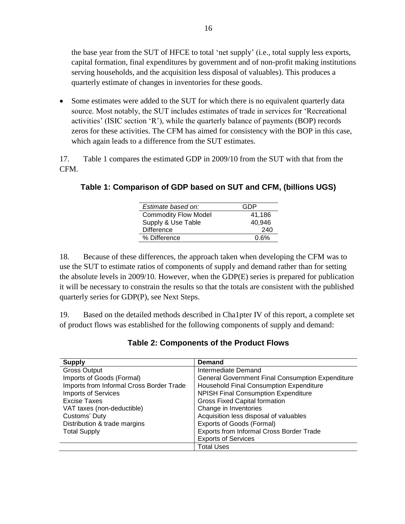the base year from the SUT of HFCE to total 'net supply' (i.e., total supply less exports, capital formation, final expenditures by government and of non-profit making institutions serving households, and the acquisition less disposal of valuables). This produces a quarterly estimate of changes in inventories for these goods.

• Some estimates were added to the SUT for which there is no equivalent quarterly data source. Most notably, the SUT includes estimates of trade in services for 'Recreational activities' (ISIC section 'R'), while the quarterly balance of payments (BOP) records zeros for these activities. The CFM has aimed for consistency with the BOP in this case, which again leads to a difference from the SUT estimates.

17. Table 1 compares the estimated GDP in 2009/10 from the SUT with that from the CFM.

| Estimate based on:          | GDP    |
|-----------------------------|--------|
| <b>Commodity Flow Model</b> | 41,186 |
| Supply & Use Table          | 40,946 |
| <b>Difference</b>           | 240    |
| % Difference                | 0.6%   |
|                             |        |

**Table 1: Comparison of GDP based on SUT and CFM, (billions UGS)**

18. Because of these differences, the approach taken when developing the CFM was to use the SUT to estimate ratios of components of supply and demand rather than for setting the absolute levels in 2009/10. However, when the GDP(E) series is prepared for publication it will be necessary to constrain the results so that the totals are consistent with the published quarterly series for GDP(P), see Next Steps.

19. Based on the detailed methods described in Cha1pter IV of this report, a complete set of product flows was established for the following components of supply and demand:

| <b>Supply</b>                            | <b>Demand</b>                                           |
|------------------------------------------|---------------------------------------------------------|
| <b>Gross Output</b>                      | Intermediate Demand                                     |
| Imports of Goods (Formal)                | <b>General Government Final Consumption Expenditure</b> |
| Imports from Informal Cross Border Trade | Household Final Consumption Expenditure                 |
| <b>Imports of Services</b>               | <b>NPISH Final Consumption Expenditure</b>              |
| Excise Taxes                             | <b>Gross Fixed Capital formation</b>                    |
| VAT taxes (non-deductible)               | Change in Inventories                                   |
| Customs' Duty                            | Acquisition less disposal of valuables                  |
| Distribution & trade margins             | Exports of Goods (Formal)                               |
| <b>Total Supply</b>                      | Exports from Informal Cross Border Trade                |
|                                          | <b>Exports of Services</b>                              |
|                                          | <b>Total Uses</b>                                       |

**Table 2: Components of the Product Flows**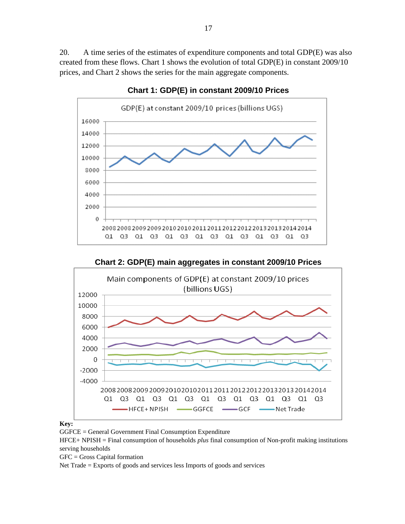20. A time series of the estimates of expenditure components and total GDP(E) was also created from these flows. Chart 1 shows the evolution of total GDP(E) in constant 2009/10 prices, and Chart 2 shows the series for the main aggregate components.



**Chart 1: GDP(E) in constant 2009/10 Prices**

**Chart 2: GDP(E) main aggregates in constant 2009/10 Prices**



#### **Key:**

GGFCE = General Government Final Consumption Expenditure

HFCE+ NPISH = Final consumption of households *plus* final consumption of Non-profit making institutions serving households

GFC = Gross Capital formation

Net Trade = Exports of goods and services less Imports of goods and services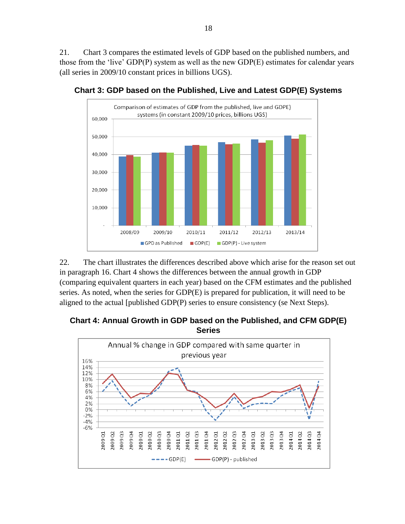21. Chart 3 compares the estimated levels of GDP based on the published numbers, and those from the 'live' GDP(P) system as well as the new GDP(E) estimates for calendar years (all series in 2009/10 constant prices in billions UGS).



**Chart 3: GDP based on the Published, Live and Latest GDP(E) Systems**

22. The chart illustrates the differences described above which arise for the reason set out in paragraph [16.](#page-15-0) Chart 4 shows the differences between the annual growth in GDP (comparing equivalent quarters in each year) based on the CFM estimates and the published series. As noted, when the series for GDP(E) is prepared for publication, it will need to be aligned to the actual [published GDP(P) series to ensure consistency (se Next Steps).

**Chart 4: Annual Growth in GDP based on the Published, and CFM GDP(E) Series**

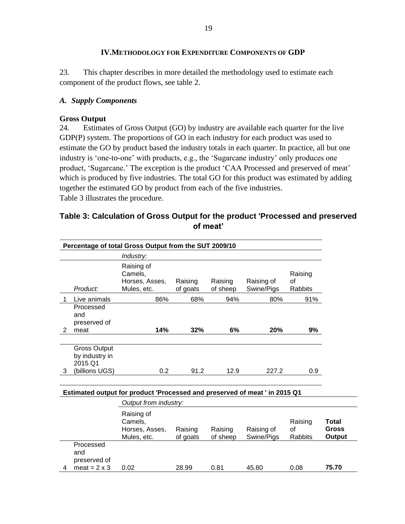#### **IV.METHODOLOGY FOR EXPENDITURE COMPONENTS OF GDP**

23. This chapter describes in more detailed the methodology used to estimate each component of the product flows, see table 2.

#### *A. Supply Components*

#### **Gross Output**

24. Estimates of Gross Output (GO) by industry are available each quarter for the live GDP(P) system. The proportions of GO in each industry for each product was used to estimate the GO by product based the industry totals in each quarter. In practice, all but one industry is 'one-to-one' with products, e.g., the 'Sugarcane industry' only produces one product, 'Sugarcane.' The exception is the product 'CAA Processed and preserved of meat' which is produced by five industries. The total GO for this product was estimated by adding together the estimated GO by product from each of the five industries. Table 3 illustrates the procedure.

#### **Table 3: Calculation of Gross Output for the product 'Processed and preserved of meat'**

| Percentage of total Gross Output from the SUT 2009/10 |                                                                    |                                                        |                     |                     |                          |                          |  |  |
|-------------------------------------------------------|--------------------------------------------------------------------|--------------------------------------------------------|---------------------|---------------------|--------------------------|--------------------------|--|--|
|                                                       |                                                                    | Industry:                                              |                     |                     |                          |                          |  |  |
|                                                       | Product:                                                           | Raising of<br>Camels,<br>Horses, Asses,<br>Mules, etc. | Raising<br>of goats | Raising<br>of sheep | Raising of<br>Swine/Pigs | Raising<br>οf<br>Rabbits |  |  |
|                                                       | Live animals                                                       | 86%                                                    | 68%                 | 94%                 | 80%                      | 91%                      |  |  |
| 2                                                     | Processed<br>and<br>preserved of<br>meat                           | 14%                                                    | 32%                 | 6%                  | 20%                      | 9%                       |  |  |
| 3                                                     | <b>Gross Output</b><br>by industry in<br>2015 Q1<br>(billions UGS) | 0.2                                                    | 91.2                | 12.9                | 227.2                    | 0.9                      |  |  |

#### **Estimated output for product 'Processed and preserved of meat ' in 2015 Q1**

|   |                                  | Output from industry:                                  |                     |                     |                          |                          |                                 |
|---|----------------------------------|--------------------------------------------------------|---------------------|---------------------|--------------------------|--------------------------|---------------------------------|
|   |                                  | Raising of<br>Camels,<br>Horses, Asses,<br>Mules, etc. | Raising<br>of goats | Raising<br>of sheep | Raising of<br>Swine/Pigs | Raising<br>οf<br>Rabbits | Total<br><b>Gross</b><br>Output |
|   | Processed<br>and<br>preserved of |                                                        |                     |                     |                          |                          |                                 |
| 4 | meat = $2 \times 3$              | 0.02                                                   | 28.99               | 0.81                | 45.80                    | 0.08                     | 75.70                           |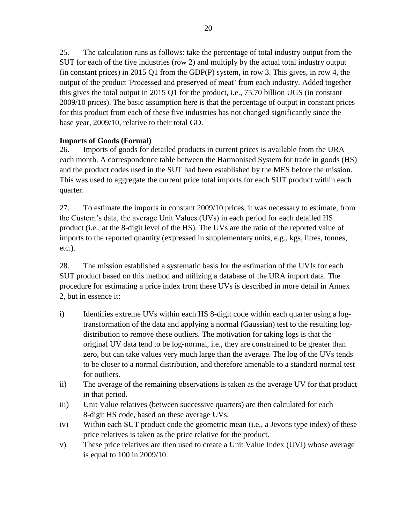25. The calculation runs as follows: take the percentage of total industry output from the SUT for each of the five industries (row 2) and multiply by the actual total industry output (in constant prices) in 2015 Q1 from the GDP(P) system, in row 3. This gives, in row 4, the output of the product 'Processed and preserved of meat' from each industry. Added together this gives the total output in 2015 Q1 for the product, i.e., 75.70 billion UGS (in constant 2009/10 prices). The basic assumption here is that the percentage of output in constant prices for this product from each of these five industries has not changed significantly since the base year, 2009/10, relative to their total GO.

#### **Imports of Goods (Formal)**

26. Imports of goods for detailed products in current prices is available from the URA each month. A correspondence table between the Harmonised System for trade in goods (HS) and the product codes used in the SUT had been established by the MES before the mission. This was used to aggregate the current price total imports for each SUT product within each quarter.

<span id="page-20-0"></span>27. To estimate the imports in constant 2009/10 prices, it was necessary to estimate, from the Custom's data, the average Unit Values (UVs) in each period for each detailed HS product (i.e., at the 8-digit level of the HS). The UVs are the ratio of the reported value of imports to the reported quantity (expressed in supplementary units, e.g., kgs, litres, tonnes, etc.).

28. The mission established a systematic basis for the estimation of the UVIs for each SUT product based on this method and utilizing a database of the URA import data. The procedure for estimating a price index from these UVs is described in more detail in Annex 2, but in essence it:

- i) Identifies extreme UVs within each HS 8-digit code within each quarter using a logtransformation of the data and applying a normal (Gaussian) test to the resulting logdistribution to remove these outliers. The motivation for taking logs is that the original UV data tend to be log-normal, i.e., they are constrained to be greater than zero, but can take values very much large than the average. The log of the UVs tends to be closer to a normal distribution, and therefore amenable to a standard normal test for outliers.
- ii) The average of the remaining observations is taken as the average UV for that product in that period.
- iii) Unit Value relatives (between successive quarters) are then calculated for each 8-digit HS code, based on these average UVs.
- iv) Within each SUT product code the geometric mean (i.e., a Jevons type index) of these price relatives is taken as the price relative for the product.
- v) These price relatives are then used to create a Unit Value Index (UVI) whose average is equal to 100 in 2009/10.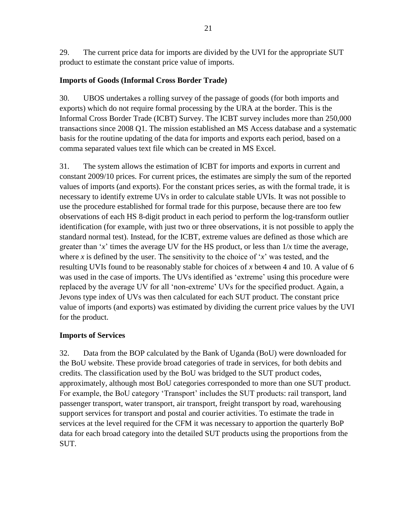29. The current price data for imports are divided by the UVI for the appropriate SUT product to estimate the constant price value of imports.

#### **Imports of Goods (Informal Cross Border Trade)**

30. UBOS undertakes a rolling survey of the passage of goods (for both imports and exports) which do not require formal processing by the URA at the border. This is the Informal Cross Border Trade (ICBT) Survey. The ICBT survey includes more than 250,000 transactions since 2008 Q1. The mission established an MS Access database and a systematic basis for the routine updating of the data for imports and exports each period, based on a comma separated values text file which can be created in MS Excel.

31. The system allows the estimation of ICBT for imports and exports in current and constant 2009/10 prices. For current prices, the estimates are simply the sum of the reported values of imports (and exports). For the constant prices series, as with the formal trade, it is necessary to identify extreme UVs in order to calculate stable UVIs. It was not possible to use the procedure established for formal trade for this purpose, because there are too few observations of each HS 8-digit product in each period to perform the log-transform outlier identification (for example, with just two or three observations, it is not possible to apply the standard normal test). Instead, for the ICBT, extreme values are defined as those which are greater than '*x*' times the average UV for the HS product, or less than 1/*x* time the average, where *x* is defined by the user. The sensitivity to the choice of  $x^2$  was tested, and the resulting UVIs found to be reasonably stable for choices of *x* between 4 and 10. A value of 6 was used in the case of imports. The UVs identified as 'extreme' using this procedure were replaced by the average UV for all 'non-extreme' UVs for the specified product. Again, a Jevons type index of UVs was then calculated for each SUT product. The constant price value of imports (and exports) was estimated by dividing the current price values by the UVI for the product.

#### **Imports of Services**

32. Data from the BOP calculated by the Bank of Uganda (BoU) were downloaded for the BoU website. These provide broad categories of trade in services, for both debits and credits. The classification used by the BoU was bridged to the SUT product codes, approximately, although most BoU categories corresponded to more than one SUT product. For example, the BoU category 'Transport' includes the SUT products: rail transport, land passenger transport, water transport, air transport, freight transport by road, warehousing support services for transport and postal and courier activities. To estimate the trade in services at the level required for the CFM it was necessary to apportion the quarterly BoP data for each broad category into the detailed SUT products using the proportions from the SUT.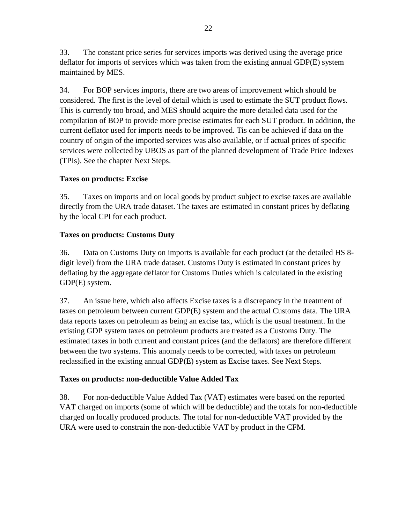33. The constant price series for services imports was derived using the average price deflator for imports of services which was taken from the existing annual GDP(E) system maintained by MES.

34. For BOP services imports, there are two areas of improvement which should be considered. The first is the level of detail which is used to estimate the SUT product flows. This is currently too broad, and MES should acquire the more detailed data used for the compilation of BOP to provide more precise estimates for each SUT product. In addition, the current deflator used for imports needs to be improved. Tis can be achieved if data on the country of origin of the imported services was also available, or if actual prices of specific services were collected by UBOS as part of the planned development of Trade Price Indexes (TPIs). See the chapter Next Steps.

#### **Taxes on products: Excise**

35. Taxes on imports and on local goods by product subject to excise taxes are available directly from the URA trade dataset. The taxes are estimated in constant prices by deflating by the local CPI for each product.

#### **Taxes on products: Customs Duty**

36. Data on Customs Duty on imports is available for each product (at the detailed HS 8 digit level) from the URA trade dataset. Customs Duty is estimated in constant prices by deflating by the aggregate deflator for Customs Duties which is calculated in the existing GDP(E) system.

37. An issue here, which also affects Excise taxes is a discrepancy in the treatment of taxes on petroleum between current GDP(E) system and the actual Customs data. The URA data reports taxes on petroleum as being an excise tax, which is the usual treatment. In the existing GDP system taxes on petroleum products are treated as a Customs Duty. The estimated taxes in both current and constant prices (and the deflators) are therefore different between the two systems. This anomaly needs to be corrected, with taxes on petroleum reclassified in the existing annual GDP(E) system as Excise taxes. See Next Steps.

#### **Taxes on products: non-deductible Value Added Tax**

38. For non-deductible Value Added Tax (VAT) estimates were based on the reported VAT charged on imports (some of which will be deductible) and the totals for non-deductible charged on locally produced products. The total for non-deductible VAT provided by the URA were used to constrain the non-deductible VAT by product in the CFM.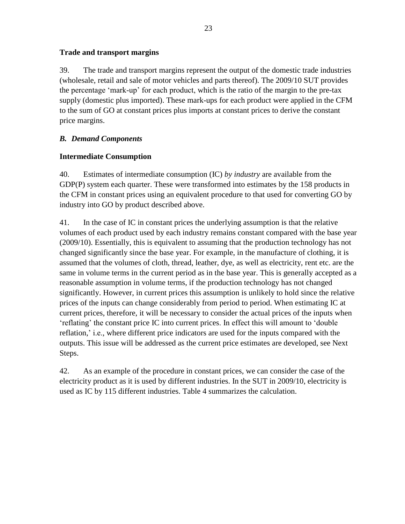#### **Trade and transport margins**

39. The trade and transport margins represent the output of the domestic trade industries (wholesale, retail and sale of motor vehicles and parts thereof). The 2009/10 SUT provides the percentage 'mark-up' for each product, which is the ratio of the margin to the pre-tax supply (domestic plus imported). These mark-ups for each product were applied in the CFM to the sum of GO at constant prices plus imports at constant prices to derive the constant price margins.

#### *B. Demand Components*

#### **Intermediate Consumption**

<span id="page-23-0"></span>40. Estimates of intermediate consumption (IC) *by industry* are available from the GDP(P) system each quarter. These were transformed into estimates by the 158 products in the CFM in constant prices using an equivalent procedure to that used for converting GO by industry into GO by product described above.

41. In the case of IC in constant prices the underlying assumption is that the relative volumes of each product used by each industry remains constant compared with the base year (2009/10). Essentially, this is equivalent to assuming that the production technology has not changed significantly since the base year. For example, in the manufacture of clothing, it is assumed that the volumes of cloth, thread, leather, dye, as well as electricity, rent etc. are the same in volume terms in the current period as in the base year. This is generally accepted as a reasonable assumption in volume terms, if the production technology has not changed significantly. However, in current prices this assumption is unlikely to hold since the relative prices of the inputs can change considerably from period to period. When estimating IC at current prices, therefore, it will be necessary to consider the actual prices of the inputs when 'reflating' the constant price IC into current prices. In effect this will amount to 'double reflation,' i.e., where different price indicators are used for the inputs compared with the outputs. This issue will be addressed as the current price estimates are developed, see Next Steps.

42. As an example of the procedure in constant prices, we can consider the case of the electricity product as it is used by different industries. In the SUT in 2009/10, electricity is used as IC by 115 different industries. Table 4 summarizes the calculation.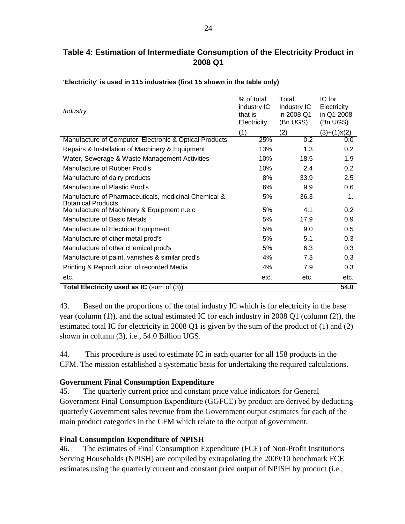| 'Electricity' is used in 115 industries (first 15 shown in the table only)        |                                                     |                                                |                                                 |  |  |  |  |
|-----------------------------------------------------------------------------------|-----------------------------------------------------|------------------------------------------------|-------------------------------------------------|--|--|--|--|
| <b>Industry</b>                                                                   | % of total<br>industry IC<br>that is<br>Electricity | Total<br>Industry IC<br>in 2008 Q1<br>(Bn UGS) | IC for<br>Electricity<br>in Q1 2008<br>(Bn UGS) |  |  |  |  |
|                                                                                   | (1)                                                 | (2)                                            | $(3)+(1)x(2)$                                   |  |  |  |  |
| Manufacture of Computer, Electronic & Optical Products                            | 25%                                                 | $\overline{0.2}$                               | 0.0                                             |  |  |  |  |
| Repairs & Installation of Machinery & Equipment                                   | 13%                                                 | 1.3                                            | 0.2                                             |  |  |  |  |
| Water, Sewerage & Waste Management Activities                                     | 10%                                                 | 18.5                                           | 1.9                                             |  |  |  |  |
| Manufacture of Rubber Prod's                                                      | 10%                                                 | 2.4                                            | 0.2                                             |  |  |  |  |
| Manufacture of dairy products                                                     | 8%                                                  | 33.9                                           | 2.5                                             |  |  |  |  |
| Manufacture of Plastic Prod's                                                     | 6%                                                  | 9.9                                            | 0.6                                             |  |  |  |  |
| Manufacture of Pharmaceuticals, medicinal Chemical &<br><b>Botanical Products</b> | 5%                                                  | 36.3                                           | $\mathbf{1}$ .                                  |  |  |  |  |
| Manufacture of Machinery & Equipment n.e.c                                        | 5%                                                  | 4.1                                            | 0.2                                             |  |  |  |  |
| Manufacture of Basic Metals                                                       | 5%                                                  | 17.9                                           | 0.9                                             |  |  |  |  |
| Manufacture of Electrical Equipment                                               | 5%                                                  | 9.0                                            | 0.5                                             |  |  |  |  |
| Manufacture of other metal prod's                                                 | 5%                                                  | 5.1                                            | 0.3                                             |  |  |  |  |
| Manufacture of other chemical prod's                                              | 5%                                                  | 6.3                                            | 0.3                                             |  |  |  |  |
| Manufacture of paint, vanishes & similar prod's                                   | 4%                                                  | 7.3                                            | 0.3                                             |  |  |  |  |
| Printing & Reproduction of recorded Media                                         | 4%                                                  | 7.9                                            | 0.3                                             |  |  |  |  |
| etc.                                                                              | etc.                                                | etc.                                           | etc.                                            |  |  |  |  |
| Total Electricity used as IC (sum of (3))                                         |                                                     |                                                | 54.0                                            |  |  |  |  |

## **Table 4: Estimation of Intermediate Consumption of the Electricity Product in 2008 Q1**

43. Based on the proportions of the total industry IC which is for electricity in the base year (column (1)), and the actual estimated IC for each industry in 2008 Q1 (column (2)), the estimated total IC for electricity in 2008 Q1 is given by the sum of the product of (1) and (2) shown in column (3), i.e., 54.0 Billion UGS.

44. This procedure is used to estimate IC in each quarter for all 158 products in the CFM. The mission established a systematic basis for undertaking the required calculations.

#### **Government Final Consumption Expenditure**

45. The quarterly current price and constant price value indicators for General Government Final Consumption Expenditure (GGFCE) by product are derived by deducting quarterly Government sales revenue from the Government output estimates for each of the main product categories in the CFM which relate to the output of government.

#### **Final Consumption Expenditure of NPISH**

46. The estimates of Final Consumption Expenditure (FCE) of Non-Profit Institutions Serving Households (NPISH) are compiled by extrapolating the 2009/10 benchmark FCE estimates using the quarterly current and constant price output of NPISH by product (i.e.,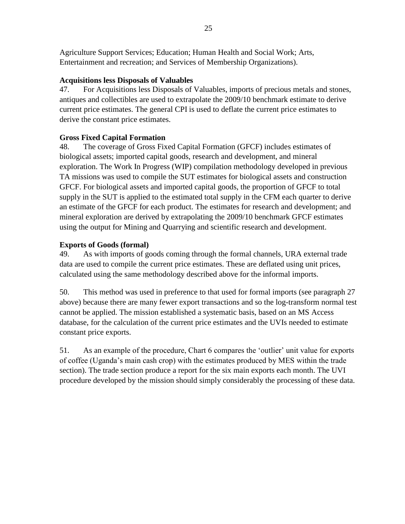Agriculture Support Services; Education; Human Health and Social Work; Arts, Entertainment and recreation; and Services of Membership Organizations).

## **Acquisitions less Disposals of Valuables**

47. For Acquisitions less Disposals of Valuables, imports of precious metals and stones, antiques and collectibles are used to extrapolate the 2009/10 benchmark estimate to derive current price estimates. The general CPI is used to deflate the current price estimates to derive the constant price estimates.

## **Gross Fixed Capital Formation**

48. The coverage of Gross Fixed Capital Formation (GFCF) includes estimates of biological assets; imported capital goods, research and development, and mineral exploration. The Work In Progress (WIP) compilation methodology developed in previous TA missions was used to compile the SUT estimates for biological assets and construction GFCF. For biological assets and imported capital goods, the proportion of GFCF to total supply in the SUT is applied to the estimated total supply in the CFM each quarter to derive an estimate of the GFCF for each product. The estimates for research and development; and mineral exploration are derived by extrapolating the 2009/10 benchmark GFCF estimates using the output for Mining and Quarrying and scientific research and development.

#### **Exports of Goods (formal)**

49. As with imports of goods coming through the formal channels, URA external trade data are used to compile the current price estimates. These are deflated using unit prices, calculated using the same methodology described above for the informal imports.

50. This method was used in preference to that used for formal imports (see paragraph [27](#page-20-0) above) because there are many fewer export transactions and so the log-transform normal test cannot be applied. The mission established a systematic basis, based on an MS Access database, for the calculation of the current price estimates and the UVIs needed to estimate constant price exports.

51. As an example of the procedure, Chart 6 compares the 'outlier' unit value for exports of coffee (Uganda's main cash crop) with the estimates produced by MES within the trade section). The trade section produce a report for the six main exports each month. The UVI procedure developed by the mission should simply considerably the processing of these data.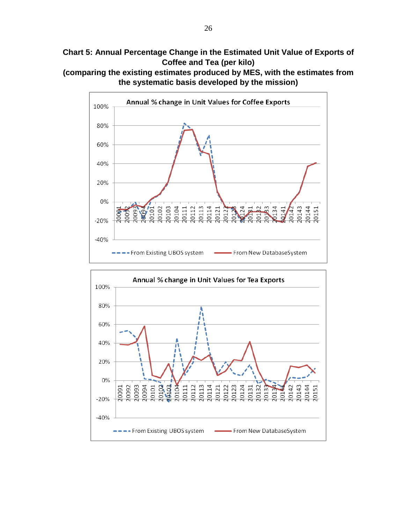**Chart 5: Annual Percentage Change in the Estimated Unit Value of Exports of Coffee and Tea (per kilo)**





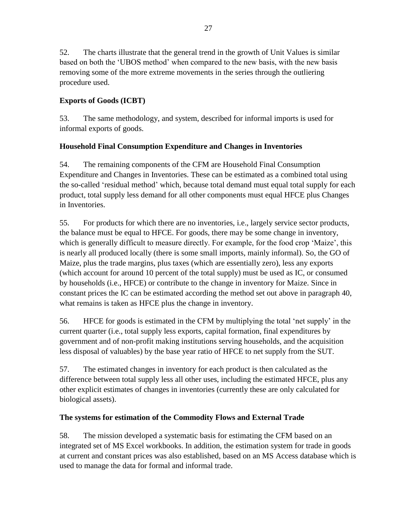52. The charts illustrate that the general trend in the growth of Unit Values is similar based on both the 'UBOS method' when compared to the new basis, with the new basis removing some of the more extreme movements in the series through the outliering procedure used.

## **Exports of Goods (ICBT)**

53. The same methodology, and system, described for informal imports is used for informal exports of goods.

## **Household Final Consumption Expenditure and Changes in Inventories**

54. The remaining components of the CFM are Household Final Consumption Expenditure and Changes in Inventories. These can be estimated as a combined total using the so-called 'residual method' which, because total demand must equal total supply for each product, total supply less demand for all other components must equal HFCE plus Changes in Inventories.

55. For products for which there are no inventories, i.e., largely service sector products, the balance must be equal to HFCE. For goods, there may be some change in inventory, which is generally difficult to measure directly. For example, for the food crop 'Maize', this is nearly all produced locally (there is some small imports, mainly informal). So, the GO of Maize, plus the trade margins, plus taxes (which are essentially zero), less any exports (which account for around 10 percent of the total supply) must be used as IC, or consumed by households (i.e., HFCE) or contribute to the change in inventory for Maize. Since in constant prices the IC can be estimated according the method set out above in paragraph [40,](#page-23-0) what remains is taken as HFCE plus the change in inventory.

56. HFCE for goods is estimated in the CFM by multiplying the total 'net supply' in the current quarter (i.e., total supply less exports, capital formation, final expenditures by government and of non-profit making institutions serving households, and the acquisition less disposal of valuables) by the base year ratio of HFCE to net supply from the SUT.

57. The estimated changes in inventory for each product is then calculated as the difference between total supply less all other uses, including the estimated HFCE, plus any other explicit estimates of changes in inventories (currently these are only calculated for biological assets).

## **The systems for estimation of the Commodity Flows and External Trade**

58. The mission developed a systematic basis for estimating the CFM based on an integrated set of MS Excel workbooks. In addition, the estimation system for trade in goods at current and constant prices was also established, based on an MS Access database which is used to manage the data for formal and informal trade.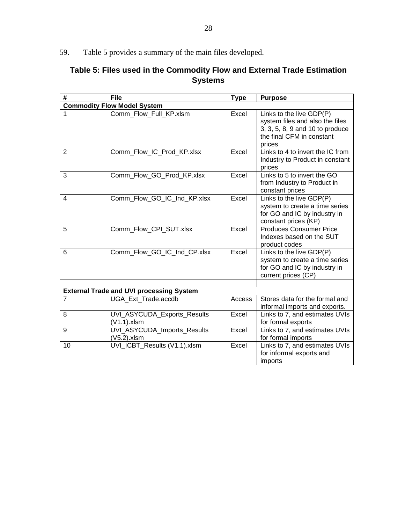59. Table 5 provides a summary of the main files developed.

## **Table 5: Files used in the Commodity Flow and External Trade Estimation Systems**

| #                                  | <b>File</b>                                     | <b>Type</b> | <b>Purpose</b>                                                                                                                        |  |  |  |  |  |
|------------------------------------|-------------------------------------------------|-------------|---------------------------------------------------------------------------------------------------------------------------------------|--|--|--|--|--|
| <b>Commodity Flow Model System</b> |                                                 |             |                                                                                                                                       |  |  |  |  |  |
|                                    | Comm Flow Full KP.xlsm                          | Excel       | Links to the live GDP(P)<br>system files and also the files<br>3, 3, 5, 8, 9 and 10 to produce<br>the final CFM in constant<br>prices |  |  |  |  |  |
| $\overline{2}$                     | Comm Flow IC Prod KP.xlsx                       | Excel       | Links to 4 to invert the IC from<br>Industry to Product in constant<br>prices                                                         |  |  |  |  |  |
| 3                                  | Comm_Flow_GO_Prod_KP.xlsx                       | Excel       | Links to 5 to invert the GO<br>from Industry to Product in<br>constant prices                                                         |  |  |  |  |  |
| 4                                  | Comm_Flow_GO_IC_Ind_KP.xlsx                     | Excel       | Links to the live GDP(P)<br>system to create a time series<br>for GO and IC by industry in<br>constant prices (KP)                    |  |  |  |  |  |
| 5                                  | Comm Flow CPI SUT.xlsx                          | Excel       | <b>Produces Consumer Price</b><br>Indexes based on the SUT<br>product codes                                                           |  |  |  |  |  |
| 6                                  | Comm Flow GO IC Ind CP.xlsx                     | Excel       | Links to the live GDP(P)<br>system to create a time series<br>for GO and IC by industry in<br>current prices (CP)                     |  |  |  |  |  |
|                                    |                                                 |             |                                                                                                                                       |  |  |  |  |  |
|                                    | <b>External Trade and UVI processing System</b> |             |                                                                                                                                       |  |  |  |  |  |
| $\overline{7}$                     | UGA_Ext_Trade.accdb                             | Access      | Stores data for the formal and<br>informal imports and exports.                                                                       |  |  |  |  |  |
| 8                                  | UVI_ASYCUDA_Exports_Results<br>$(V1.1).x$ lsm   | Excel       | Links to 7, and estimates UVIs<br>for formal exports                                                                                  |  |  |  |  |  |
| 9                                  | UVI_ASYCUDA_Imports_Results<br>$(V5.2)$ .xlsm   | Excel       | Links to 7, and estimates UVIs<br>for formal imports                                                                                  |  |  |  |  |  |
| 10                                 | UVI_ICBT_Results (V1.1).xlsm                    | Excel       | Links to 7, and estimates UVIs<br>for informal exports and<br>imports                                                                 |  |  |  |  |  |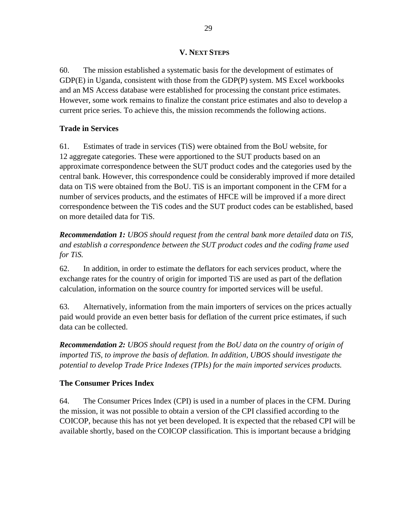#### **V. NEXT STEPS**

60. The mission established a systematic basis for the development of estimates of GDP(E) in Uganda, consistent with those from the GDP(P) system. MS Excel workbooks and an MS Access database were established for processing the constant price estimates. However, some work remains to finalize the constant price estimates and also to develop a current price series. To achieve this, the mission recommends the following actions.

#### **Trade in Services**

61. Estimates of trade in services (TiS) were obtained from the BoU website, for 12 aggregate categories. These were apportioned to the SUT products based on an approximate correspondence between the SUT product codes and the categories used by the central bank. However, this correspondence could be considerably improved if more detailed data on TiS were obtained from the BoU. TiS is an important component in the CFM for a number of services products, and the estimates of HFCE will be improved if a more direct correspondence between the TiS codes and the SUT product codes can be established, based on more detailed data for TiS.

*Recommendation 1: UBOS should request from the central bank more detailed data on TiS, and establish a correspondence between the SUT product codes and the coding frame used for TiS.*

62. In addition, in order to estimate the deflators for each services product, where the exchange rates for the country of origin for imported TiS are used as part of the deflation calculation, information on the source country for imported services will be useful.

63. Alternatively, information from the main importers of services on the prices actually paid would provide an even better basis for deflation of the current price estimates, if such data can be collected.

*Recommendation 2: UBOS should request from the BoU data on the country of origin of imported TiS, to improve the basis of deflation. In addition, UBOS should investigate the potential to develop Trade Price Indexes (TPIs) for the main imported services products.*

#### **The Consumer Prices Index**

64. The Consumer Prices Index (CPI) is used in a number of places in the CFM. During the mission, it was not possible to obtain a version of the CPI classified according to the COICOP, because this has not yet been developed. It is expected that the rebased CPI will be available shortly, based on the COICOP classification. This is important because a bridging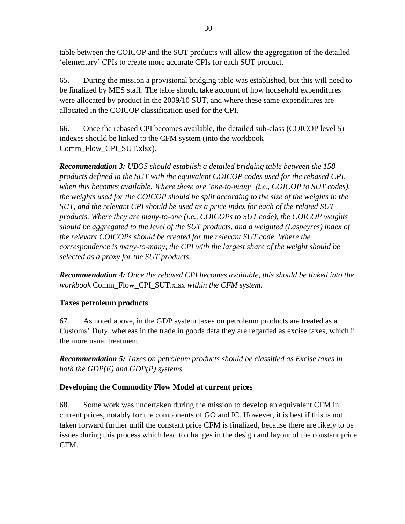table between the COICOP and the SUT products will allow the aggregation of the detailed 'elementary' CPIs to create more accurate CPIs for each SUT product.

65. During the mission a provisional bridging table was established, but this will need to be finalized by MES staff. The table should take account of how household expenditures were allocated by product in the 2009/10 SUT, and where these same expenditures are allocated in the COICOP classification used for the CPI.

66. Once the rebased CPI becomes available, the detailed sub-class (COICOP level 5) indexes should be linked to the CFM system (into the workbook Comm\_Flow\_CPI\_SUT.xlsx).

*Recommendation 3: UBOS should establish a detailed bridging table between the 158 products defined in the SUT with the equivalent COICOP codes used for the rebased CPI, when this becomes available. Where these are 'one-to-many' (i.e., COICOP to SUT codes), the weights used for the COICOP should be split according to the size of the weights in the SUT, and the relevant CPI should be used as a price index for each of the related SUT products. Where they are many-to-one (i.e., COICOPs to SUT code), the COICOP weights should be aggregated to the level of the SUT products, and a weighted (Laspeyres) index of the relevant COICOPs should be created for the relevant SUT code. Where the correspondence is many-to-many, the CPI with the largest share of the weight should be selected as a proxy for the SUT products.* 

*Recommendation 4: Once the rebased CPI becomes available, this should be linked into the workbook* Comm\_Flow\_CPI\_SUT.xlsx *within the CFM system.*

## **Taxes petroleum products**

67. As noted above, in the GDP system taxes on petroleum products are treated as a Customs' Duty, whereas in the trade in goods data they are regarded as excise taxes, which ii the more usual treatment.

*Recommendation 5: Taxes on petroleum products should be classified as Excise taxes in both the GDP(E) and GDP(P) systems.*

## **Developing the Commodity Flow Model at current prices**

68. Some work was undertaken during the mission to develop an equivalent CFM in current prices, notably for the components of GO and IC. However, it is best if this is not taken forward further until the constant price CFM is finalized, because there are likely to be issues during this process which lead to changes in the design and layout of the constant price CFM.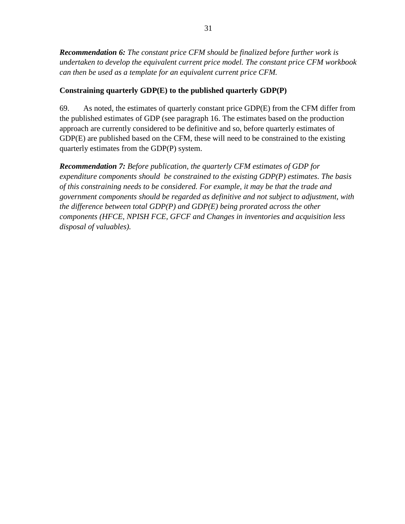*Recommendation 6: The constant price CFM should be finalized before further work is undertaken to develop the equivalent current price model. The constant price CFM workbook can then be used as a template for an equivalent current price CFM.*

## **Constraining quarterly GDP(E) to the published quarterly GDP(P)**

69. As noted, the estimates of quarterly constant price GDP(E) from the CFM differ from the published estimates of GDP (see paragraph [16.](#page-15-0) The estimates based on the production approach are currently considered to be definitive and so, before quarterly estimates of GDP(E) are published based on the CFM, these will need to be constrained to the existing quarterly estimates from the GDP(P) system.

*Recommendation 7: Before publication, the quarterly CFM estimates of GDP for expenditure components should be constrained to the existing GDP(P) estimates. The basis of this constraining needs to be considered. For example, it may be that the trade and government components should be regarded as definitive and not subject to adjustment, with the difference between total GDP(P) and GDP(E) being prorated across the other components (HFCE, NPISH FCE, GFCF and Changes in inventories and acquisition less disposal of valuables).*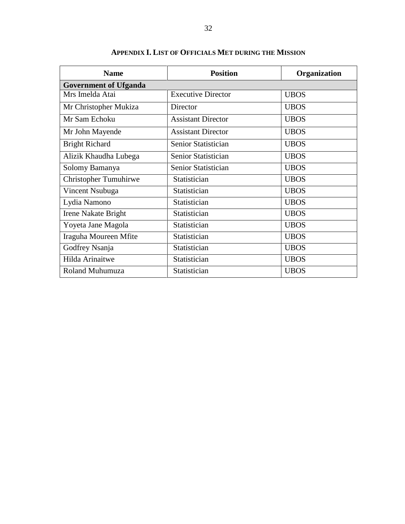| <b>Name</b>                  | <b>Position</b>           | Organization |  |  |  |  |
|------------------------------|---------------------------|--------------|--|--|--|--|
| <b>Government of Ufganda</b> |                           |              |  |  |  |  |
| Mrs Imelda Atai              | <b>Executive Director</b> | <b>UBOS</b>  |  |  |  |  |
| Mr Christopher Mukiza        | Director                  | <b>UBOS</b>  |  |  |  |  |
| Mr Sam Echoku                | <b>Assistant Director</b> | <b>UBOS</b>  |  |  |  |  |
| Mr John Mayende              | <b>Assistant Director</b> | <b>UBOS</b>  |  |  |  |  |
| <b>Bright Richard</b>        | Senior Statistician       | <b>UBOS</b>  |  |  |  |  |
| Alizik Khaudha Lubega        | Senior Statistician       | <b>UBOS</b>  |  |  |  |  |
| Solomy Bamanya               | Senior Statistician       | <b>UBOS</b>  |  |  |  |  |
| <b>Christopher Tumuhirwe</b> | Statistician              | <b>UBOS</b>  |  |  |  |  |
| Vincent Nsubuga              | Statistician              | <b>UBOS</b>  |  |  |  |  |
| Lydia Namono                 | Statistician              | <b>UBOS</b>  |  |  |  |  |
| Irene Nakate Bright          | Statistician              | <b>UBOS</b>  |  |  |  |  |
| Yoyeta Jane Magola           | Statistician              | <b>UBOS</b>  |  |  |  |  |
| Iraguha Moureen Mfite        | Statistician              | <b>UBOS</b>  |  |  |  |  |
| Godfrey Nsanja               | Statistician              | <b>UBOS</b>  |  |  |  |  |
| Hilda Arinaitwe              | Statistician              | <b>UBOS</b>  |  |  |  |  |
| Roland Muhumuza              | Statistician              | <b>UBOS</b>  |  |  |  |  |

## **APPENDIX I. LIST OF OFFICIALS MET DURING THE MISSION**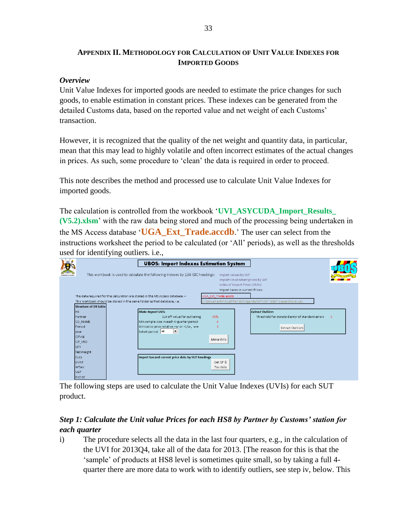#### **APPENDIX II. METHODOLOGY FOR CALCULATION OF UNIT VALUE INDEXES FOR IMPORTED GOODS**

#### *Overview*

Unit Value Indexes for imported goods are needed to estimate the price changes for such goods, to enable estimation in constant prices. These indexes can be generated from the detailed Customs data, based on the reported value and net weight of each Customs' transaction.

However, it is recognized that the quality of the net weight and quantity data, in particular, mean that this may lead to highly volatile and often incorrect estimates of the actual changes in prices. As such, some procedure to 'clean' the data is required in order to proceed.

This note describes the method and processed use to calculate Unit Value Indexes for imported goods.

The calculation is controlled from the workbook '**UVI\_ASYCUDA\_Import\_Results\_ (V5.2).xlsm**' with the raw data being stored and much of the processing being undertaken in the MS Access database '**UGA\_Ext\_Trade.accdb**.' The user can select from the instructions worksheet the period to be calculated (or 'All' periods), as well as the thresholds used for identifying outliers. i.e.,

|                              | <b>UBOS: Import Indexes Estimation System</b>                                  |                                                                 |                                   |                                                 |              |  |
|------------------------------|--------------------------------------------------------------------------------|-----------------------------------------------------------------|-----------------------------------|-------------------------------------------------|--------------|--|
|                              | This workbook is used to calculate the following Indexes by 158 ISIC headings: |                                                                 | Import values by SUT              |                                                 |              |  |
|                              |                                                                                |                                                                 | Imports in constant prices by SUT |                                                 |              |  |
|                              |                                                                                |                                                                 | Index of Import Prices (UVIs)     |                                                 |              |  |
|                              |                                                                                |                                                                 | Import taxes in current Prices    |                                                 |              |  |
|                              | The data required for the calculation are stored in the MS Access database ->  | UGA Ext Trade.accdb                                             |                                   |                                                 |              |  |
|                              | This workbook should be stored in the same folder as that database, i.e.       | D:\Documents\YoullPlan Ltd\Uganda IMF\IMF QGDP Expenditure July |                                   |                                                 |              |  |
| <b>Structure of DB table</b> |                                                                                |                                                                 |                                   |                                                 |              |  |
| <b>HS</b>                    | <b>Make Import UVIs</b>                                                        |                                                                 |                                   | <b>Extract Outliers</b>                         |              |  |
| Partner                      | Cut off value for outliering                                                   | 95%                                                             |                                   | Threshold for standard error of standard errors | $\mathbf{R}$ |  |
| CO NAME                      | Min sample size in each 4-quarter period                                       | -6                                                              |                                   |                                                 |              |  |
| Period                       | Winsorise price relative >w or <1/w, $w=$                                      | $\overline{2}$                                                  |                                   | <b>Extract Outliers</b>                         |              |  |
| year                         | Select period All<br>$\blacktriangledown$                                      |                                                                 |                                   |                                                 |              |  |
| CIFVal                       |                                                                                | Make UVIs                                                       |                                   |                                                 |              |  |
| CIF USD                      |                                                                                |                                                                 |                                   |                                                 |              |  |
| QTY                          |                                                                                |                                                                 |                                   |                                                 |              |  |
| NetWeight                    |                                                                                |                                                                 |                                   |                                                 |              |  |
| Duty                         | Import tax and current price data by SUT headings                              |                                                                 |                                   |                                                 |              |  |
| <b>DVAT</b>                  |                                                                                | Get CP &                                                        |                                   |                                                 |              |  |
| <b>WTAX</b>                  |                                                                                | Tax data                                                        |                                   |                                                 |              |  |
| VAT                          |                                                                                |                                                                 |                                   |                                                 |              |  |
| <b>EXCISE</b>                |                                                                                |                                                                 |                                   |                                                 |              |  |

The following steps are used to calculate the Unit Value Indexes (UVIs) for each SUT product.

#### *Step 1: Calculate the Unit value Prices for each HS8 by Partner by Customs' station for each quarter*

i) The procedure selects all the data in the last four quarters, e.g., in the calculation of the UVI for 2013Q4, take all of the data for 2013. [The reason for this is that the 'sample' of products at HS8 level is sometimes quite small, so by taking a full 4 quarter there are more data to work with to identify outliers, see step iv, below. This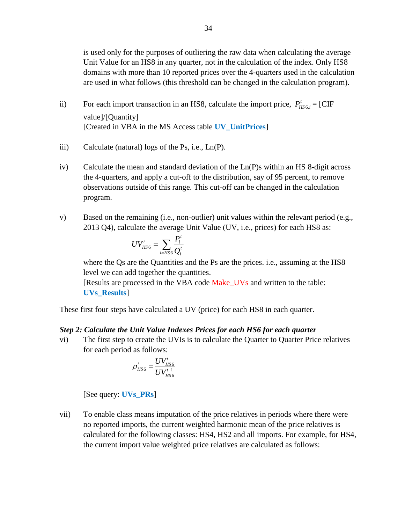is used only for the purposes of outliering the raw data when calculating the average Unit Value for an HS8 in any quarter, not in the calculation of the index. Only HS8 domains with more than 10 reported prices over the 4-quarters used in the calculation are used in what follows (this threshold can be changed in the calculation program).

- ii) For each import transaction in an HS8, calculate the import price,  $P_{HS6,i}^t = [\text{CIF}$ value]/[Quantity] [Created in VBA in the MS Access table **UV\_UnitPrices**]
- iii) Calculate (natural) logs of the Ps, i.e., Ln(P).
- iv) Calculate the mean and standard deviation of the Ln(P)s within an HS 8-digit across the 4-quarters, and apply a cut-off to the distribution, say of 95 percent, to remove observations outside of this range. This cut-off can be changed in the calculation program.
- v) Based on the remaining (i.e., non-outlier) unit values within the relevant period (e.g., 2013 Q4), calculate the average Unit Value (UV, i.e., prices) for each HS8 as:

$$
UV_{HS6}^t = \sum_{i \in HS6} \frac{P_i^t}{Q_i^t}
$$

where the Qs are the Quantities and the Ps are the prices. *i.e.*, assuming at the HS8 level we can add together the quantities.

[Results are processed in the VBA code Make UVs and written to the table: **UVs\_Results**]

These first four steps have calculated a UV (price) for each HS8 in each quarter.

#### *Step 2: Calculate the Unit Value Indexes Prices for each HS6 for each quarter*

vi) The first step to create the UVIs is to calculate the Quarter to Quarter Price relatives for each period as follows:

$$
\rho_{HS6}^t = \frac{UV_{HS6}^t}{UV_{HS6}^{t-1}}
$$

[See query: **UVs\_PRs**]

vii) To enable class means imputation of the price relatives in periods where there were no reported imports, the current weighted harmonic mean of the price relatives is calculated for the following classes: HS4, HS2 and all imports. For example, for HS4, the current import value weighted price relatives are calculated as follows: